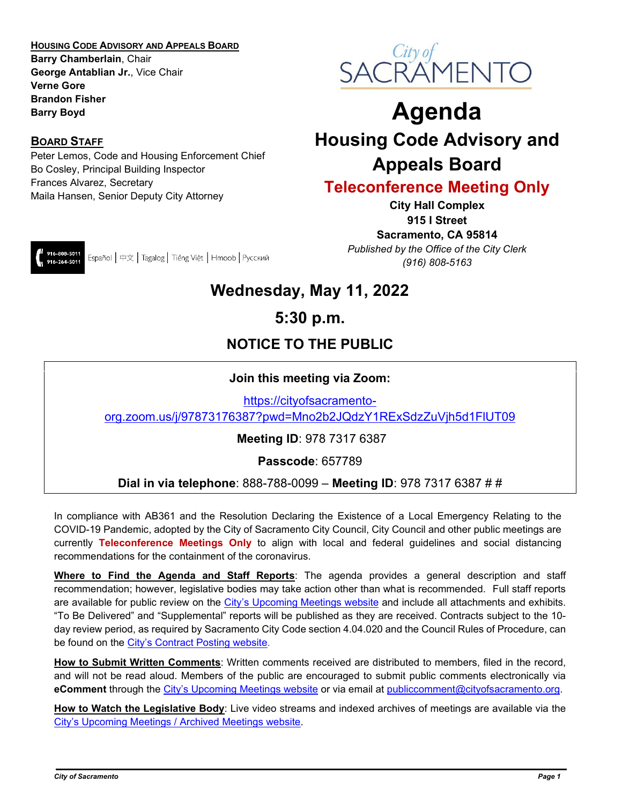**HOUSING CODE ADVISORY AND APPEALS BOARD Barry Chamberlain**, Chair **George Antablian Jr.**, Vice Chair **Verne Gore Brandon Fisher Barry Boyd**

#### **BOARD STAFF**

Peter Lemos, Code and Housing Enforcement Chief Bo Cosley, Principal Building Inspector Frances Alvarez, Secretary Maila Hansen, Senior Deputy City Attorney



# **Agenda**

## **Housing Code Advisory and Appeals Board**

## **Teleconference Meeting Only**

**City Hall Complex 915 I Street Sacramento, CA 95814**  *Published by the Office of the City Clerk (916) 808-5163*



## **Wednesday, May 11, 2022**

## **5:30 p.m.**

## **NOTICE TO THE PUBLIC**

## **Join this meeting via Zoom:**

[https://cityofsacramento-](https://cityofsacramento-org.zoom.us/j/97873176387?pwd=Mno2b2JQdzY1RExSdzZuVjh5d1FlUT09)

[org.zoom.us/j/97873176387?pwd=Mno2b2JQdzY1RExSdzZuVjh5d1FlUT09](https://cityofsacramento-org.zoom.us/j/97873176387?pwd=Mno2b2JQdzY1RExSdzZuVjh5d1FlUT09)

**Meeting ID**: 978 7317 6387

**Passcode**: 657789

**Dial in via telephone**: 888-788-0099 – **Meeting ID**: 978 7317 6387 # #

In compliance with AB361 and the Resolution Declaring the Existence of a Local Emergency Relating to the COVID-19 Pandemic, adopted by the City of Sacramento City Council, City Council and other public meetings are currently **Teleconference Meetings Only** to align with local and federal guidelines and social distancing recommendations for the containment of the coronavirus.

**Where to Find the Agenda and Staff Reports**: The agenda provides a general description and staff recommendation; however, legislative bodies may take action other than what is recommended. Full staff reports are available for public review on the City's [Upcoming Meetings website](http://sacramento.granicus.com/ViewPublisher.php?view_id=21) and include all attachments and exhibits. "To Be Delivered" and "Supplemental" reports will be published as they are received. Contracts subject to the 10 day review period, as required by Sacramento City Code section 4.04.020 and the Council Rules of Procedure, can be found on the [City's Contract Posting website.](http://www.cityofsacramento.org/Clerk/Contract-Posting)

**How to Submit Written Comments**: Written comments received are distributed to members, filed in the record, and will not be read aloud. Members of the public are encouraged to submit public comments electronically via **eComment** through the [City's Upcoming Meetings website](mailto:City%E2%80%99s%20Upcoming%20Meetings%20website) or via email at [publiccomment@cityofsacramento.org.](mailto:publiccomment@cityofsacramento.org)

**How to Watch the Legislative Body**: Live video streams and indexed archives of meetings are available via the [City's Upcoming Meetings / Archived Meetings website.](http://sacramento.granicus.com/ViewPublisher.php?view_id=21)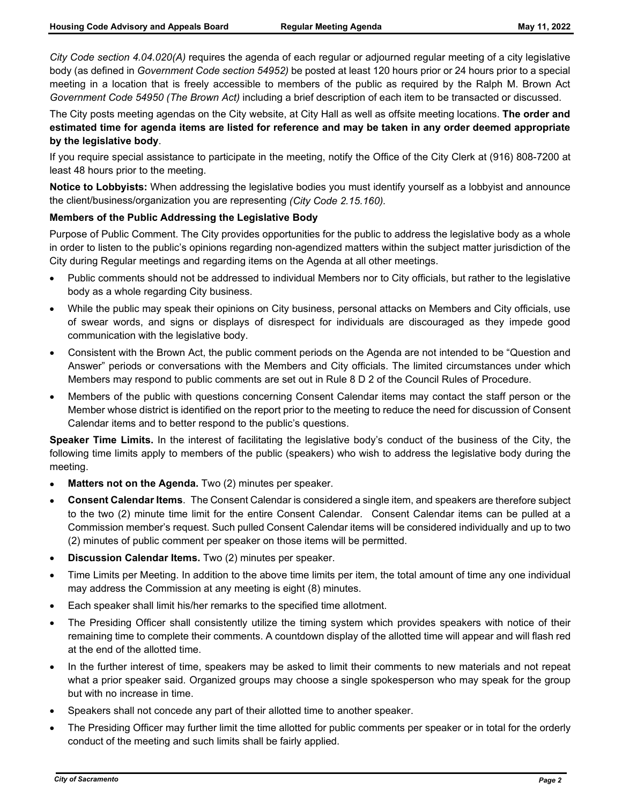*City Code section 4.04.020(A)* requires the agenda of each regular or adjourned regular meeting of a city legislative body (as defined in *Government Code section 54952)* be posted at least 120 hours prior or 24 hours prior to a special meeting in a location that is freely accessible to members of the public as required by the Ralph M. Brown Act *Government Code 54950 (The Brown Act)* including a brief description of each item to be transacted or discussed.

The City posts meeting agendas on the City website, at City Hall as well as offsite meeting locations. **The order and estimated time for agenda items are listed for reference and may be taken in any order deemed appropriate by the legislative body**.

If you require special assistance to participate in the meeting, notify the Office of the City Clerk at (916) 808-7200 at least 48 hours prior to the meeting.

**Notice to Lobbyists:** When addressing the legislative bodies you must identify yourself as a lobbyist and announce the client/business/organization you are representing *(City Code 2.15.160).*

#### **Members of the Public Addressing the Legislative Body**

Purpose of Public Comment. The City provides opportunities for the public to address the legislative body as a whole in order to listen to the public's opinions regarding non-agendized matters within the subject matter jurisdiction of the City during Regular meetings and regarding items on the Agenda at all other meetings.

- Public comments should not be addressed to individual Members nor to City officials, but rather to the legislative body as a whole regarding City business.
- While the public may speak their opinions on City business, personal attacks on Members and City officials, use of swear words, and signs or displays of disrespect for individuals are discouraged as they impede good communication with the legislative body.
- Consistent with the Brown Act, the public comment periods on the Agenda are not intended to be "Question and Answer" periods or conversations with the Members and City officials. The limited circumstances under which Members may respond to public comments are set out in Rule 8 D 2 of the Council Rules of Procedure.
- Members of the public with questions concerning Consent Calendar items may contact the staff person or the Member whose district is identified on the report prior to the meeting to reduce the need for discussion of Consent Calendar items and to better respond to the public's questions.

**Speaker Time Limits.** In the interest of facilitating the legislative body's conduct of the business of the City, the following time limits apply to members of the public (speakers) who wish to address the legislative body during the meeting.

- **Matters not on the Agenda.** Two (2) minutes per speaker.
- **Consent Calendar Items**. The Consent Calendar is considered a single item, and speakers are therefore subject to the two (2) minute time limit for the entire Consent Calendar. Consent Calendar items can be pulled at a Commission member's request. Such pulled Consent Calendar items will be considered individually and up to two (2) minutes of public comment per speaker on those items will be permitted.
- **Discussion Calendar Items.** Two (2) minutes per speaker.
- Time Limits per Meeting. In addition to the above time limits per item, the total amount of time any one individual may address the Commission at any meeting is eight (8) minutes.
- Each speaker shall limit his/her remarks to the specified time allotment.
- The Presiding Officer shall consistently utilize the timing system which provides speakers with notice of their remaining time to complete their comments. A countdown display of the allotted time will appear and will flash red at the end of the allotted time.
- In the further interest of time, speakers may be asked to limit their comments to new materials and not repeat what a prior speaker said. Organized groups may choose a single spokesperson who may speak for the group but with no increase in time.
- Speakers shall not concede any part of their allotted time to another speaker.
- The Presiding Officer may further limit the time allotted for public comments per speaker or in total for the orderly conduct of the meeting and such limits shall be fairly applied.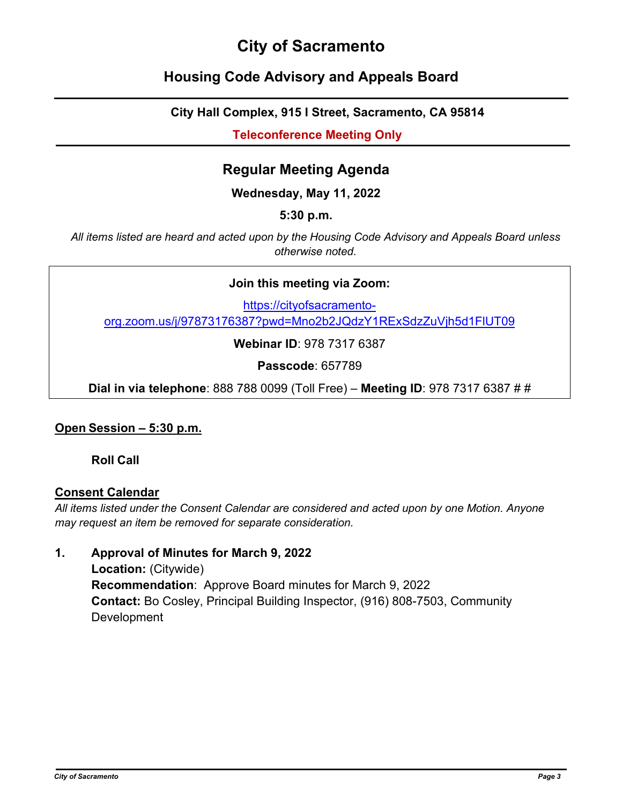## **City of Sacramento**

## **Housing Code Advisory and Appeals Board**

## **City Hall Complex, 915 I Street, Sacramento, CA 95814**

**Teleconference Meeting Only**

## **Regular Meeting Agenda**

#### **Wednesday, May 11, 2022**

**5:30 p.m.**

*All items listed are heard and acted upon by the Housing Code Advisory and Appeals Board unless otherwise noted.*

|  | Join this meeting via Zoom: |  |
|--|-----------------------------|--|
|--|-----------------------------|--|

[https://cityofsacramento](https://cityofsacramento-org.zoom.us/j/97873176387?pwd=Mno2b2JQdzY1RExSdzZuVjh5d1FlUT09)[org.zoom.us/j/97873176387?pwd=Mno2b2JQdzY1RExSdzZuVjh5d1FlUT09](https://cityofsacramento-org.zoom.us/j/97873176387?pwd=Mno2b2JQdzY1RExSdzZuVjh5d1FlUT09)

**Webinar ID**: 978 7317 6387

**Passcode**: 657789

**Dial in via telephone**: 888 788 0099 (Toll Free) – **Meeting ID**: 978 7317 6387 # #

#### **Open Session – 5:30 p.m.**

**Roll Call**

#### **Consent Calendar**

*All items listed under the Consent Calendar are considered and acted upon by one Motion. Anyone may request an item be removed for separate consideration.*

**1. Approval of Minutes for March 9, 2022 Location:** (Citywide) **Recommendation**: Approve Board minutes for March 9, 2022 **Contact:** Bo Cosley, Principal Building Inspector, (916) 808-7503, Community **Development**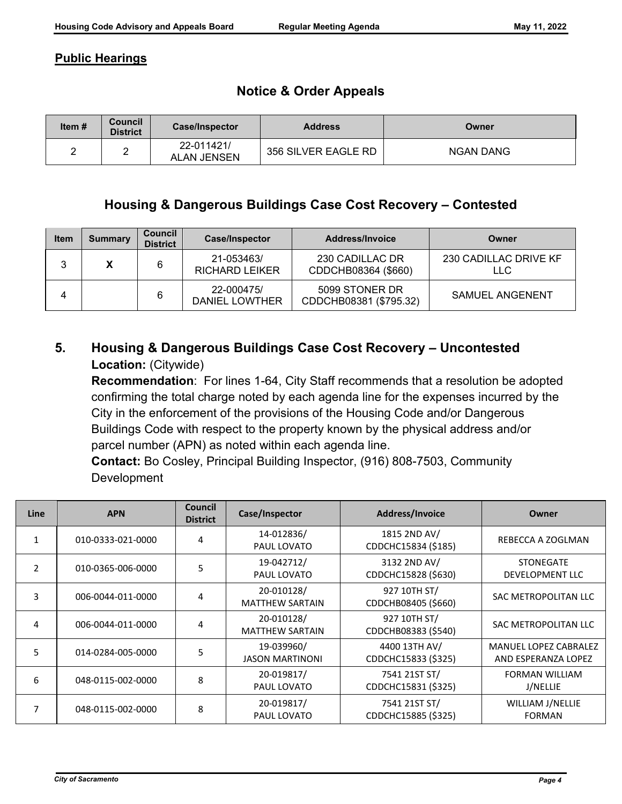#### **Public Hearings**

## **Notice & Order Appeals**

| Item $#$ | <b>Council</b><br><b>District</b> | <b>Case/Inspector</b>            | <b>Address</b>      | Owner            |
|----------|-----------------------------------|----------------------------------|---------------------|------------------|
|          |                                   | 22-011421/<br><b>ALAN JENSEN</b> | 356 SILVER EAGLE RD | <b>NGAN DANG</b> |

## **Housing & Dangerous Buildings Case Cost Recovery – Contested**

| <b>Item</b> | <b>Summary</b> | <b>Council</b><br><b>District</b> | Case/Inspector                      | <b>Address/Invoice</b>                   | Owner                        |
|-------------|----------------|-----------------------------------|-------------------------------------|------------------------------------------|------------------------------|
| 3           |                | 6                                 | 21-053463/<br><b>RICHARD LEIKER</b> | 230 CADILLAC DR<br>CDDCHB08364 (\$660)   | 230 CADILLAC DRIVE KF<br>LLC |
|             |                | 6                                 | 22-000475/<br><b>DANIEL LOWTHER</b> | 5099 STONER DR<br>CDDCHB08381 (\$795.32) | SAMUEL ANGENENT              |

## **5. Housing & Dangerous Buildings Case Cost Recovery – Uncontested Location:** (Citywide)

**Recommendation**: For lines 1-64, City Staff recommends that a resolution be adopted confirming the total charge noted by each agenda line for the expenses incurred by the City in the enforcement of the provisions of the Housing Code and/or Dangerous Buildings Code with respect to the property known by the physical address and/or parcel number (APN) as noted within each agenda line.

**Contact:** Bo Cosley, Principal Building Inspector, (916) 808-7503, Community Development

| Line           | <b>APN</b>        | <b>Council</b><br><b>District</b> | Case/Inspector                       | <b>Address/Invoice</b>               | Owner                                               |
|----------------|-------------------|-----------------------------------|--------------------------------------|--------------------------------------|-----------------------------------------------------|
| 1              | 010-0333-021-0000 | 4                                 | 14-012836/<br>PAUL LOVATO            | 1815 2ND AV/<br>CDDCHC15834 (\$185)  | REBECCA A ZOGLMAN                                   |
| $\mathfrak{p}$ | 010-0365-006-0000 | 5                                 | 19-042712/<br>PAUL LOVATO            | 3132 2ND AV/<br>CDDCHC15828 (\$630)  | <b>STONEGATE</b><br>DEVELOPMENT LLC                 |
| 3              | 006-0044-011-0000 | 4                                 | 20-010128/<br><b>MATTHEW SARTAIN</b> | 927 10TH ST/<br>CDDCHB08405 (\$660)  | SAC METROPOLITAN LLC                                |
| 4              | 006-0044-011-0000 | 4                                 | 20-010128/<br><b>MATTHEW SARTAIN</b> | 927 10TH ST/<br>CDDCHB08383 (\$540)  | SAC METROPOLITAN LLC                                |
| 5              | 014-0284-005-0000 | 5                                 | 19-039960/<br><b>JASON MARTINONI</b> | 4400 13TH AV/<br>CDDCHC15833 (\$325) | <b>MANUEL LOPEZ CABRALEZ</b><br>AND ESPERANZA LOPEZ |
| 6              | 048-0115-002-0000 | 8                                 | 20-019817/<br>PAUL LOVATO            | 7541 21ST ST/<br>CDDCHC15831 (\$325) | <b>FORMAN WILLIAM</b><br>J/NELLIE                   |
| 7              | 048-0115-002-0000 | 8                                 | 20-019817/<br>PAUL LOVATO            | 7541 21ST ST/<br>CDDCHC15885 (\$325) | WILLIAM J/NELLIE<br><b>FORMAN</b>                   |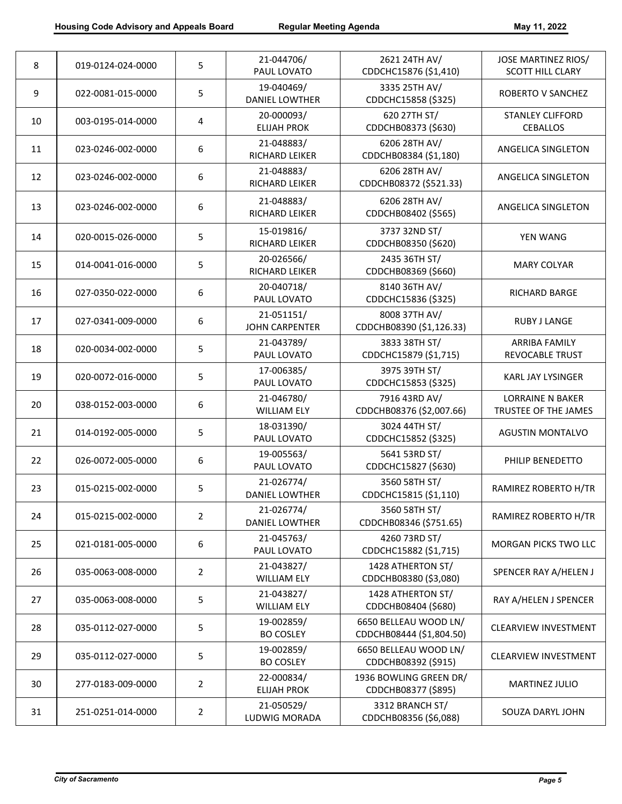| 8  | 019-0124-024-0000 | 5 | 21-044706/<br>PAUL LOVATO           | 2621 24TH AV/<br>CDDCHC15876 (\$1,410)            | JOSE MARTINEZ RIOS/<br><b>SCOTT HILL CLARY</b>  |
|----|-------------------|---|-------------------------------------|---------------------------------------------------|-------------------------------------------------|
| 9  | 022-0081-015-0000 | 5 | 19-040469/<br><b>DANIEL LOWTHER</b> | 3335 25TH AV/<br>CDDCHC15858 (\$325)              | ROBERTO V SANCHEZ                               |
| 10 | 003-0195-014-0000 | 4 | 20-000093/<br><b>ELIJAH PROK</b>    | 620 27TH ST/<br>CDDCHB08373 (\$630)               | <b>STANLEY CLIFFORD</b><br><b>CEBALLOS</b>      |
| 11 | 023-0246-002-0000 | 6 | 21-048883/<br>RICHARD LEIKER        | 6206 28TH AV/<br>CDDCHB08384 (\$1,180)            | ANGELICA SINGLETON                              |
| 12 | 023-0246-002-0000 | 6 | 21-048883/<br>RICHARD LEIKER        | 6206 28TH AV/<br>CDDCHB08372 (\$521.33)           | ANGELICA SINGLETON                              |
| 13 | 023-0246-002-0000 | 6 | 21-048883/<br>RICHARD LEIKER        | 6206 28TH AV/<br>CDDCHB08402 (\$565)              | ANGELICA SINGLETON                              |
| 14 | 020-0015-026-0000 | 5 | 15-019816/<br>RICHARD LEIKER        | 3737 32ND ST/<br>CDDCHB08350 (\$620)              | YEN WANG                                        |
| 15 | 014-0041-016-0000 | 5 | 20-026566/<br><b>RICHARD LEIKER</b> | 2435 36TH ST/<br>CDDCHB08369 (\$660)              | <b>MARY COLYAR</b>                              |
| 16 | 027-0350-022-0000 | 6 | 20-040718/<br>PAUL LOVATO           | 8140 36TH AV/<br>CDDCHC15836 (\$325)              | <b>RICHARD BARGE</b>                            |
| 17 | 027-0341-009-0000 | 6 | 21-051151/<br><b>JOHN CARPENTER</b> | 8008 37TH AV/<br>CDDCHB08390 (\$1,126.33)         | <b>RUBY J LANGE</b>                             |
| 18 | 020-0034-002-0000 | 5 | 21-043789/<br>PAUL LOVATO           | 3833 38TH ST/<br>CDDCHC15879 (\$1,715)            | <b>ARRIBA FAMILY</b><br>REVOCABLE TRUST         |
| 19 | 020-0072-016-0000 | 5 | 17-006385/<br>PAUL LOVATO           | 3975 39TH ST/<br>CDDCHC15853 (\$325)              | KARL JAY LYSINGER                               |
| 20 | 038-0152-003-0000 | 6 | 21-046780/<br><b>WILLIAM ELY</b>    | 7916 43RD AV/<br>CDDCHB08376 (\$2,007.66)         | <b>LORRAINE N BAKER</b><br>TRUSTEE OF THE JAMES |
| 21 | 014-0192-005-0000 | 5 | 18-031390/<br>PAUL LOVATO           | 3024 44TH ST/<br>CDDCHC15852 (\$325)              | <b>AGUSTIN MONTALVO</b>                         |
| 22 | 026-0072-005-0000 | 6 | 19-005563/<br>PAUL LOVATO           | 5641 53RD ST/<br>CDDCHC15827 (\$630)              | PHILIP BENEDETTO                                |
| 23 | 015-0215-002-0000 | 5 | 21-026774/<br><b>DANIEL LOWTHER</b> | 3560 58TH ST/<br>CDDCHC15815 (\$1,110)            | RAMIREZ ROBERTO H/TR                            |
| 24 | 015-0215-002-0000 | 2 | 21-026774/<br><b>DANIEL LOWTHER</b> | 3560 58TH ST/<br>CDDCHB08346 (\$751.65)           | RAMIREZ ROBERTO H/TR                            |
| 25 | 021-0181-005-0000 | 6 | 21-045763/<br>PAUL LOVATO           | 4260 73RD ST/<br>CDDCHC15882 (\$1,715)            | <b>MORGAN PICKS TWO LLC</b>                     |
| 26 | 035-0063-008-0000 | 2 | 21-043827/<br><b>WILLIAM ELY</b>    | 1428 ATHERTON ST/<br>CDDCHB08380 (\$3,080)        | SPENCER RAY A/HELEN J                           |
| 27 | 035-0063-008-0000 | 5 | 21-043827/<br><b>WILLIAM ELY</b>    | 1428 ATHERTON ST/<br>CDDCHB08404 (\$680)          | RAY A/HELEN J SPENCER                           |
| 28 | 035-0112-027-0000 | 5 | 19-002859/<br><b>BO COSLEY</b>      | 6650 BELLEAU WOOD LN/<br>CDDCHB08444 (\$1,804.50) | <b>CLEARVIEW INVESTMENT</b>                     |
| 29 | 035-0112-027-0000 | 5 | 19-002859/<br><b>BO COSLEY</b>      | 6650 BELLEAU WOOD LN/<br>CDDCHB08392 (\$915)      | <b>CLEARVIEW INVESTMENT</b>                     |
| 30 | 277-0183-009-0000 | 2 | 22-000834/<br><b>ELIJAH PROK</b>    | 1936 BOWLING GREEN DR/<br>CDDCHB08377 (\$895)     | MARTINEZ JULIO                                  |
| 31 | 251-0251-014-0000 | 2 | 21-050529/<br>LUDWIG MORADA         | 3312 BRANCH ST/<br>CDDCHB08356 (\$6,088)          | SOUZA DARYL JOHN                                |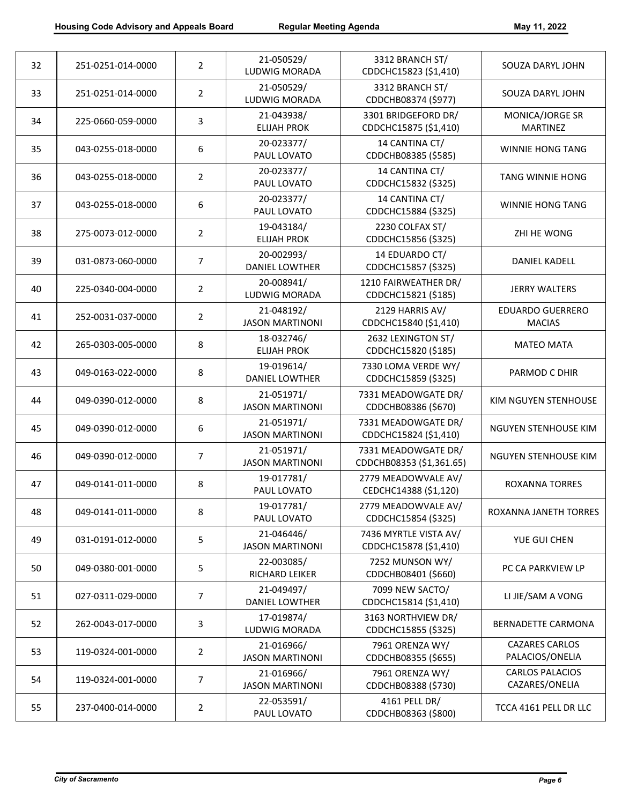| 32 | 251-0251-014-0000 | $\overline{2}$ | 21-050529/<br>LUDWIG MORADA          | 3312 BRANCH ST/<br>CDDCHC15823 (\$1,410)        | SOUZA DARYL JOHN                         |
|----|-------------------|----------------|--------------------------------------|-------------------------------------------------|------------------------------------------|
| 33 | 251-0251-014-0000 | $\overline{2}$ | 21-050529/<br><b>LUDWIG MORADA</b>   | 3312 BRANCH ST/<br>CDDCHB08374 (\$977)          | SOUZA DARYL JOHN                         |
| 34 | 225-0660-059-0000 | 3              | 21-043938/<br><b>ELIJAH PROK</b>     | 3301 BRIDGEFORD DR/<br>CDDCHC15875 (\$1,410)    | MONICA/JORGE SR<br><b>MARTINEZ</b>       |
| 35 | 043-0255-018-0000 | 6              | 20-023377/<br>PAUL LOVATO            | 14 CANTINA CT/<br>CDDCHB08385 (\$585)           | <b>WINNIE HONG TANG</b>                  |
| 36 | 043-0255-018-0000 | $\overline{2}$ | 20-023377/<br>PAUL LOVATO            | 14 CANTINA CT/<br>CDDCHC15832 (\$325)           | <b>TANG WINNIE HONG</b>                  |
| 37 | 043-0255-018-0000 | 6              | 20-023377/<br>PAUL LOVATO            | 14 CANTINA CT/<br>CDDCHC15884 (\$325)           | <b>WINNIE HONG TANG</b>                  |
| 38 | 275-0073-012-0000 | $\overline{2}$ | 19-043184/<br><b>ELIJAH PROK</b>     | 2230 COLFAX ST/<br>CDDCHC15856 (\$325)          | ZHI HE WONG                              |
| 39 | 031-0873-060-0000 | $\overline{7}$ | 20-002993/<br><b>DANIEL LOWTHER</b>  | 14 EDUARDO CT/<br>CDDCHC15857 (\$325)           | DANIEL KADELL                            |
| 40 | 225-0340-004-0000 | $\overline{2}$ | 20-008941/<br>LUDWIG MORADA          | 1210 FAIRWEATHER DR/<br>CDDCHC15821 (\$185)     | <b>JERRY WALTERS</b>                     |
| 41 | 252-0031-037-0000 | $\overline{2}$ | 21-048192/<br><b>JASON MARTINONI</b> | 2129 HARRIS AV/<br>CDDCHC15840 (\$1,410)        | <b>EDUARDO GUERRERO</b><br><b>MACIAS</b> |
| 42 | 265-0303-005-0000 | 8              | 18-032746/<br><b>ELIJAH PROK</b>     | 2632 LEXINGTON ST/<br>CDDCHC15820 (\$185)       | <b>MATEO MATA</b>                        |
| 43 | 049-0163-022-0000 | 8              | 19-019614/<br><b>DANIEL LOWTHER</b>  | 7330 LOMA VERDE WY/<br>CDDCHC15859 (\$325)      | PARMOD C DHIR                            |
| 44 | 049-0390-012-0000 | 8              | 21-051971/<br><b>JASON MARTINONI</b> | 7331 MEADOWGATE DR/<br>CDDCHB08386 (\$670)      | KIM NGUYEN STENHOUSE                     |
| 45 | 049-0390-012-0000 | 6              | 21-051971/<br><b>JASON MARTINONI</b> | 7331 MEADOWGATE DR/<br>CDDCHC15824 (\$1,410)    | NGUYEN STENHOUSE KIM                     |
| 46 | 049-0390-012-0000 | $\overline{7}$ | 21-051971/<br><b>JASON MARTINONI</b> | 7331 MEADOWGATE DR/<br>CDDCHB08353 (\$1,361.65) | NGUYEN STENHOUSE KIM                     |
| 47 | 049-0141-011-0000 | 8              | 19-017781/<br>PAUL LOVATO            | 2779 MEADOWVALE AV/<br>CEDCHC14388 (\$1,120)    | <b>ROXANNA TORRES</b>                    |
| 48 | 049-0141-011-0000 | 8              | 19-017781/<br>PAUL LOVATO            | 2779 MEADOWVALE AV/<br>CDDCHC15854 (\$325)      | ROXANNA JANETH TORRES                    |
| 49 | 031-0191-012-0000 | 5              | 21-046446/<br><b>JASON MARTINONI</b> | 7436 MYRTLE VISTA AV/<br>CDDCHC15878 (\$1,410)  | YUE GUI CHEN                             |
| 50 | 049-0380-001-0000 | 5              | 22-003085/<br>RICHARD LEIKER         | 7252 MUNSON WY/<br>CDDCHB08401 (\$660)          | PC CA PARKVIEW LP                        |
| 51 | 027-0311-029-0000 | 7              | 21-049497/<br><b>DANIEL LOWTHER</b>  | 7099 NEW SACTO/<br>CDDCHC15814 (\$1,410)        | LI JIE/SAM A VONG                        |
| 52 | 262-0043-017-0000 | 3              | 17-019874/<br>LUDWIG MORADA          | 3163 NORTHVIEW DR/<br>CDDCHC15855 (\$325)       | <b>BERNADETTE CARMONA</b>                |
| 53 | 119-0324-001-0000 | $\overline{2}$ | 21-016966/<br><b>JASON MARTINONI</b> | 7961 ORENZA WY/<br>CDDCHB08355 (\$655)          | <b>CAZARES CARLOS</b><br>PALACIOS/ONELIA |
| 54 | 119-0324-001-0000 | 7              | 21-016966/<br><b>JASON MARTINONI</b> | 7961 ORENZA WY/<br>CDDCHB08388 (\$730)          | <b>CARLOS PALACIOS</b><br>CAZARES/ONELIA |
| 55 | 237-0400-014-0000 | $\overline{2}$ | 22-053591/<br>PAUL LOVATO            | 4161 PELL DR/<br>CDDCHB08363 (\$800)            | TCCA 4161 PELL DR LLC                    |